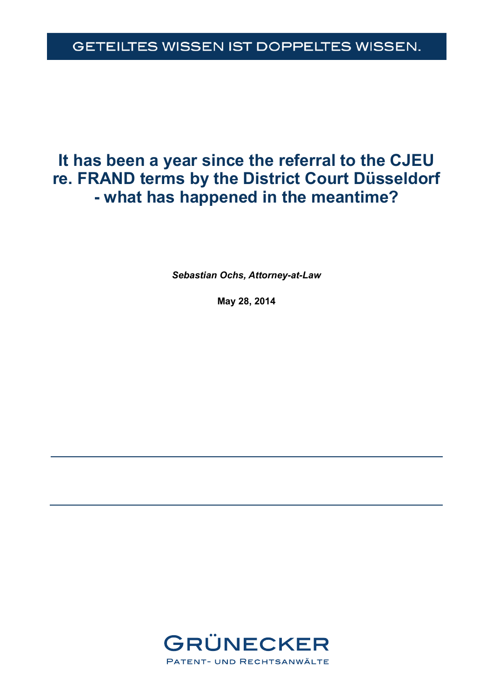# GETEILTES WISSEN IST DOPPELTES WISSEN.

# **It has been a year since the referral to the CJEU re. FRAND terms by the District Court Düsseldorf - what has happened in the meantime?**

*Sebastian Ochs, Attorney-at-Law* 

**May 28, 2014** 

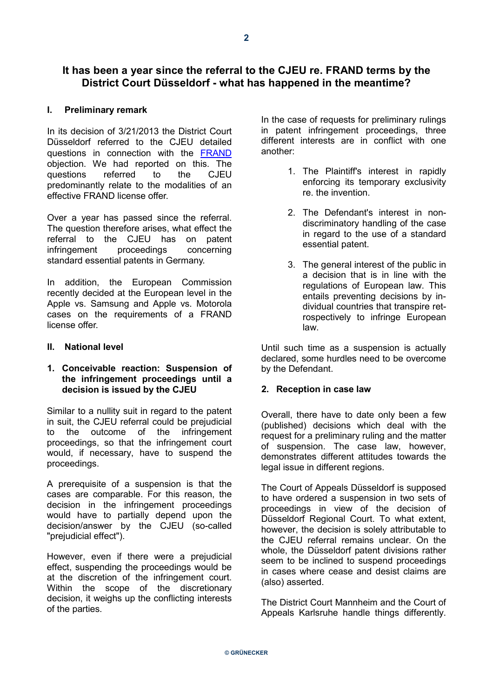# **It has been a year since the referral to the CJEU re. FRAND terms by the District Court Düsseldorf - what has happened in the meantime?**

#### **I. Preliminary remark**

In its decision of 3/21/2013 the District Court Düsseldorf referred to the CJEU detailed questions in connection with the [FRAND](http://www.grunecker.de/files/update_frand_grunecker_en.pdf) objection. We had reported on this. The questions referred to the CJEU predominantly relate to the modalities of an effective FRAND license offer.

Over a year has passed since the referral. The question therefore arises, what effect the referral to the CJEU has on patent infringement proceedings concerning standard essential patents in Germany.

In addition, the European Commission recently decided at the European level in the Apple vs. Samsung and Apple vs. Motorola cases on the requirements of a FRAND license offer.

#### **II. National level**

#### **1. Conceivable reaction: Suspension of the infringement proceedings until a decision is issued by the CJEU**

Similar to a nullity suit in regard to the patent in suit, the CJEU referral could be prejudicial to the outcome of the infringement proceedings, so that the infringement court would, if necessary, have to suspend the proceedings.

A prerequisite of a suspension is that the cases are comparable. For this reason, the decision in the infringement proceedings would have to partially depend upon the decision/answer by the CJEU (so-called "prejudicial effect").

However, even if there were a prejudicial effect, suspending the proceedings would be at the discretion of the infringement court. Within the scope of the discretionary decision, it weighs up the conflicting interests of the parties.

In the case of requests for preliminary rulings in patent infringement proceedings, three different interests are in conflict with one another:

- 1. The Plaintiff's interest in rapidly enforcing its temporary exclusivity re. the invention.
- 2. The Defendant's interest in nondiscriminatory handling of the case in regard to the use of a standard essential patent.
- 3. The general interest of the public in a decision that is in line with the regulations of European law. This entails preventing decisions by individual countries that transpire retrospectively to infringe European law.

Until such time as a suspension is actually declared, some hurdles need to be overcome by the Defendant.

#### **2. Reception in case law**

Overall, there have to date only been a few (published) decisions which deal with the request for a preliminary ruling and the matter of suspension. The case law, however, demonstrates different attitudes towards the legal issue in different regions.

The Court of Appeals Düsseldorf is supposed to have ordered a suspension in two sets of proceedings in view of the decision of Düsseldorf Regional Court. To what extent, however, the decision is solely attributable to the CJEU referral remains unclear. On the whole, the Düsseldorf patent divisions rather seem to be inclined to suspend proceedings in cases where cease and desist claims are (also) asserted.

The District Court Mannheim and the Court of Appeals Karlsruhe handle things differently.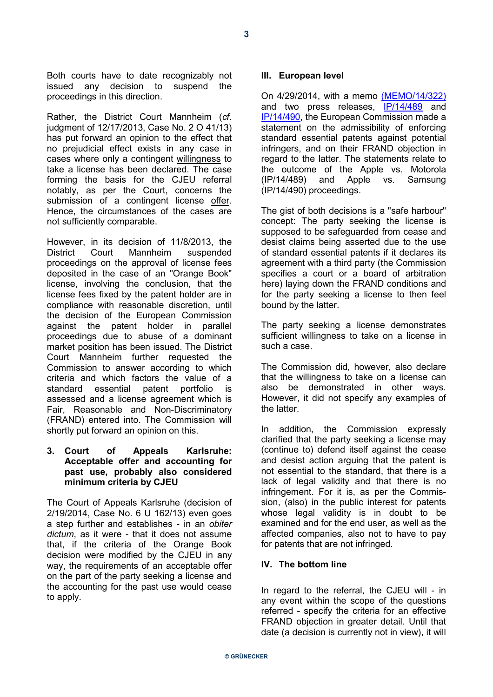Both courts have to date recognizably not issued any decision to suspend the proceedings in this direction.

Rather, the District Court Mannheim (*cf*. judgment of 12/17/2013, Case No. 2 O 41/13) has put forward an opinion to the effect that no prejudicial effect exists in any case in cases where only a contingent willingness to take a license has been declared. The case forming the basis for the CJEU referral notably, as per the Court, concerns the submission of a contingent license offer. Hence, the circumstances of the cases are not sufficiently comparable.

However, in its decision of 11/8/2013, the District Court Mannheim suspended proceedings on the approval of license fees deposited in the case of an "Orange Book" license, involving the conclusion, that the license fees fixed by the patent holder are in compliance with reasonable discretion, until the decision of the European Commission against the patent holder in parallel proceedings due to abuse of a dominant market position has been issued. The District Court Mannheim further requested the Commission to answer according to which criteria and which factors the value of a standard essential patent portfolio is assessed and a license agreement which is Fair, Reasonable and Non-Discriminatory (FRAND) entered into. The Commission will shortly put forward an opinion on this.

#### **3. Court of Appeals Karlsruhe: Acceptable offer and accounting for past use, probably also considered minimum criteria by CJEU**

The Court of Appeals Karlsruhe (decision of 2/19/2014, Case No. 6 U 162/13) even goes a step further and establishes - in an *obiter dictum*, as it were - that it does not assume that, if the criteria of the Orange Book decision were modified by the CJEU in any way, the requirements of an acceptable offer on the part of the party seeking a license and the accounting for the past use would cease to apply.

#### **III. European level**

On 4/29/2014, with a memo [\(MEMO/14/322\)](http://europa.eu/rapid/press-release_MEMO-14-322_en.htm) and two press releases, IP/14/489 and IP/14/490, the European Com[mission m](http://europa.eu/rapid/press-release_IP-14-489_de.htm)ade a [statement](http://europa.eu/rapid/press-release_IP-14-490_en.htm) on the admissibility of enforcing standard essential patents against potential infringers, and on their FRAND objection in regard to the latter. The statements relate to the outcome of the Apple vs. Motorola (IP/14/489) and Apple vs. Samsung (IP/14/490) proceedings.

The gist of both decisions is a "safe harbour" concept: The party seeking the license is supposed to be safeguarded from cease and desist claims being asserted due to the use of standard essential patents if it declares its agreement with a third party (the Commission specifies a court or a board of arbitration here) laying down the FRAND conditions and for the party seeking a license to then feel bound by the latter.

The party seeking a license demonstrates sufficient willingness to take on a license in such a case.

The Commission did, however, also declare that the willingness to take on a license can also be demonstrated in other ways. However, it did not specify any examples of the latter.

In addition, the Commission expressly clarified that the party seeking a license may (continue to) defend itself against the cease and desist action arguing that the patent is not essential to the standard, that there is a lack of legal validity and that there is no infringement. For it is, as per the Commission, (also) in the public interest for patents whose legal validity is in doubt to be examined and for the end user, as well as the affected companies, also not to have to pay for patents that are not infringed.

#### **IV. The bottom line**

In regard to the referral, the CJEU will - in any event within the scope of the questions referred - specify the criteria for an effective FRAND objection in greater detail. Until that date (a decision is currently not in view), it will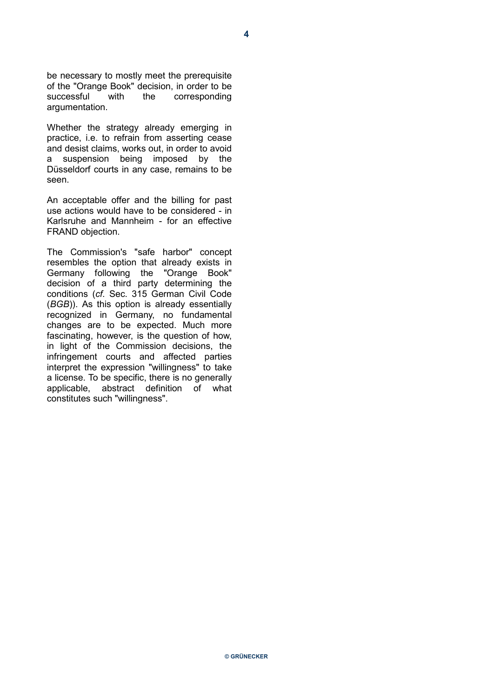be necessary to mostly meet the prerequisite of the "Orange Book" decision, in order to be successful with the corresponding argumentation.

Whether the strategy already emerging in practice, i.e. to refrain from asserting cease and desist claims, works out, in order to avoid a suspension being imposed by the Düsseldorf courts in any case, remains to be seen.

An acceptable offer and the billing for past use actions would have to be considered - in Karlsruhe and Mannheim - for an effective FRAND objection.

The Commission's "safe harbor" concept resembles the option that already exists in Germany following the "Orange Book" decision of a third party determining the conditions (*cf*. Sec. 315 German Civil Code (*BGB*)). As this option is already essentially recognized in Germany, no fundamental changes are to be expected. Much more fascinating, however, is the question of how, in light of the Commission decisions, the infringement courts and affected parties interpret the expression "willingness" to take a license. To be specific, there is no generally applicable, abstract definition of what constitutes such "willingness".